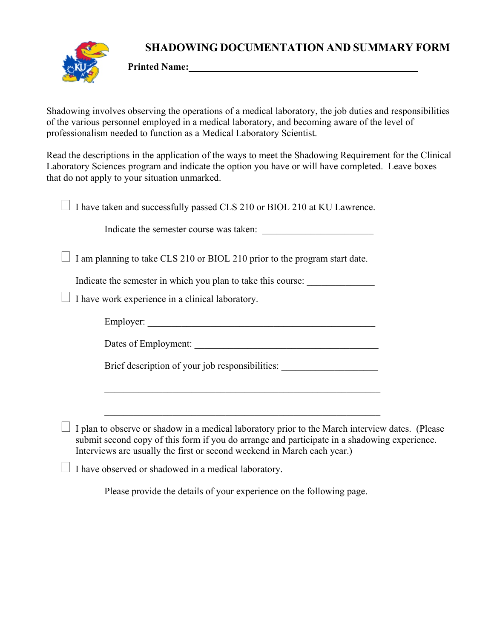**SHADOWING DOCUMENTATION AND SUMMARY FORM** 



**Printed Name:** 

Shadowing involves observing the operations of a medical laboratory, the job duties and responsibilities of the various personnel employed in a medical laboratory, and becoming aware of the level of professionalism needed to function as a Medical Laboratory Scientist.

Read the descriptions in the application of the ways to meet the Shadowing Requirement for the Clinical Laboratory Sciences program and indicate the option you have or will have completed. Leave boxes that do not apply to your situation unmarked.

| I have taken and successfully passed CLS 210 or BIOL 210 at KU Lawrence.                                                                                                                                                                                                   |
|----------------------------------------------------------------------------------------------------------------------------------------------------------------------------------------------------------------------------------------------------------------------------|
| Indicate the semester course was taken:                                                                                                                                                                                                                                    |
| I am planning to take CLS 210 or BIOL 210 prior to the program start date.                                                                                                                                                                                                 |
| Indicate the semester in which you plan to take this course:                                                                                                                                                                                                               |
| I have work experience in a clinical laboratory.                                                                                                                                                                                                                           |
|                                                                                                                                                                                                                                                                            |
|                                                                                                                                                                                                                                                                            |
| Brief description of your job responsibilities:                                                                                                                                                                                                                            |
|                                                                                                                                                                                                                                                                            |
|                                                                                                                                                                                                                                                                            |
| I plan to observe or shadow in a medical laboratory prior to the March interview dates. (Please<br>submit second copy of this form if you do arrange and participate in a shadowing experience.<br>Interviews are usually the first or second weekend in March each year.) |
| $\mathbf{r}$ , and the set of the set of the set of the set of the set of the set of the set of the set of the set of the set of the set of the set of the set of the set of the set of the set of the set of the set of the set                                           |

 $\Box$  I have observed or shadowed in a medical laboratory.

Please provide the details of your experience on the following page.